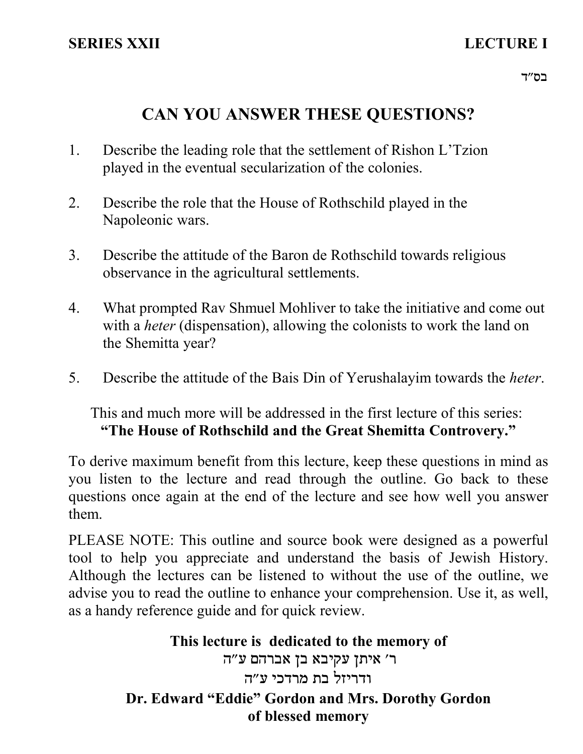# **CAN YOU ANSWER THESE QUESTIONS?**

- Describe the leading role that the settlement of Rishon L'Tzion played in the eventual secularization of the colonies. 1.
- 2. Describe the role that the House of Rothschild played in the Napoleonic wars.
- 3. Describe the attitude of the Baron de Rothschild towards religious observance in the agricultural settlements.
- 4. What prompted Rav Shmuel Mohliver to take the initiative and come out with a *heter* (dispensation), allowing the colonists to work the land on the Shemitta year?
- 5. Describe the attitude of the Bais Din of Yerushalayim towards the *heter*.

This and much more will be addressed in the first lecture of this series: **"The House of Rothschild and the Great Shemitta Controvery."**

To derive maximum benefit from this lecture, keep these questions in mind as you listen to the lecture and read through the outline. Go back to these questions once again at the end of the lecture and see how well you answer them.

PLEASE NOTE: This outline and source book were designed as a powerful tool to help you appreciate and understand the basis of Jewish History. Although the lectures can be listened to without the use of the outline, we advise you to read the outline to enhance your comprehension. Use it, as well, as a handy reference guide and for quick review.

> **This lecture is dedicated to the memory of** ר' איתן עקיבא בן אברהם ע"ה ודריזל כת מרדכי ע״ה **Dr. Edward "Eddie" Gordon and Mrs. Dorothy Gordon of blessed memory**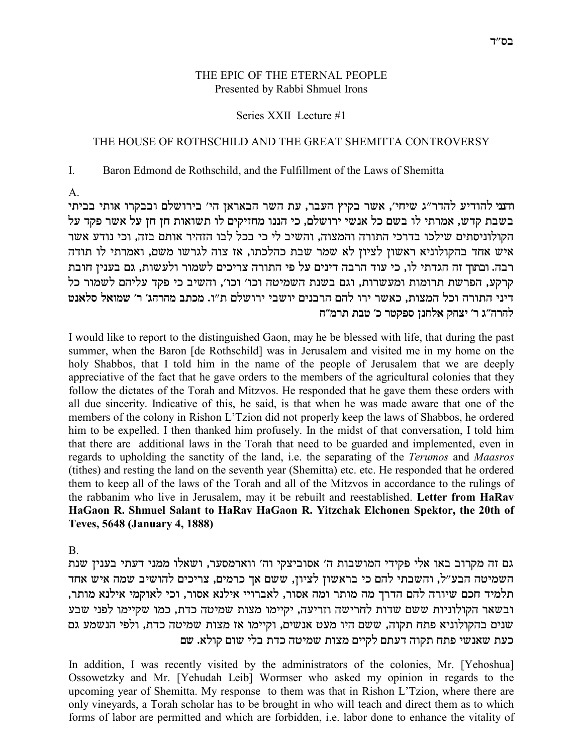#### THE EPIC OF THE ETERNAL PEOPLE Presented by Rabbi Shmuel Irons

#### Series XXII Lecture #1

#### THE HOUSE OF ROTHSCHILD AND THE GREAT SHEMITTA CONTROVERSY

 $\mathbf{I}$ Baron Edmond de Rothschild, and the Fulfillment of the Laws of Shemitta

 $\mathsf{A}$ 

והעי להודיע להדר״ג שיחי׳, אשר בקיץ העבר, עת השר הבאראן הי׳ בירושלם ובבקרו אותי בביתי בשבת קדש, אמרתי לו בשם כל אנשי ירושלם, כי הננו מחזיקים לו תשואות חן חן על אשר פקד על הקולוניסתים שילכו בדרכי התורה והמצוה, והשיב לי כי בכל לבו הזהיר אותם בזה, וכי נודע אשר איש אחד בהקולוניא ראשון לציון לא שמר שבת כהלכתו, אז צוה לגרשו משם, ואמרתי לו תודה רבה. ובתוך זה הגדתי לו, כי עוד הרבה דינים על פי התורה צריכים לשמור ולעשות, גם בענין חובת קרקע, הפרשת תרומות ומעשרות, וגם בשנת השמיטה וכו׳ וכו׳, והשיב כי פקד עליהם לשמור כל דיני התורה וכל המצות, כאשר ירו להם הרבנים יושבי ירושלם ת"ו. מכתב מהרהג' ר' שמואל סלאנט להרה״ג ר׳ יצחק אלחנן ספקטר כ׳ טבת תרמ״ח

I would like to report to the distinguished Gaon, may be be blessed with life, that during the past summer, when the Baron [de Rothschild] was in Jerusalem and visited me in my home on the holy Shabbos, that I told him in the name of the people of Jerusalem that we are deeply appreciative of the fact that he gave orders to the members of the agricultural colonies that they follow the dictates of the Torah and Mitzvos. He responded that he gave them these orders with all due sincerity. Indicative of this, he said, is that when he was made aware that one of the members of the colony in Rishon L'Tzion did not properly keep the laws of Shabbos, he ordered him to be expelled. I then thanked him profusely. In the midst of that conversation, I told him that there are additional laws in the Torah that need to be guarded and implemented, even in regards to upholding the sanctity of the land, i.e. the separating of the Terumos and Maasros (tithes) and resting the land on the seventh year (Shemitta) etc. etc. He responded that he ordered them to keep all of the laws of the Torah and all of the Mitzvos in accordance to the rulings of the rabbanim who live in Jerusalem, may it be rebuilt and reestablished. Letter from HaRav HaGaon R. Shmuel Salant to HaRav HaGaon R. Yitzchak Elchonen Spektor, the 20th of Teves, 5648 (January 4, 1888)

 $\mathbf{B}$ 

גם זה מקרוב באו אלי פקידי המושבות ה' אסוביצקי וה' ווארמסער, ושאלו ממני דעתי בענין שנת השמיטה הבע"ל, והשבתי להם כי בראשון לציון, ששם אך כרמים, צריכים להושיב שמה איש אחד תלמיד חכם שיורה להם הדרך מה מותר ומה אסור, לאברויי אילנא אסור, וכי לאוקמי אילנא מותר, ובשאר הקולוניות ששם שדות לחרישה וזריעה, יקיימו מצות שמיטה כדת, כמו שקיימו לפני שבע שנים בהקולוניא פתח תקוה, ששם היו מעט אנשים, וקיימו אז מצות שמיטה כדת, ולפי הנשמע גם כעת שאנשי פתח תקוה דעתם לקיים מצות שמיטה כדת בלי שום קולא. שם

In addition, I was recently visited by the administrators of the colonies, Mr. [Yehoshua] Ossowetzky and Mr. [Yehudah Leib] Wormser who asked my opinion in regards to the upcoming year of Shemitta. My response to them was that in Rishon L'Tzion, where there are only vineyards, a Torah scholar has to be brought in who will teach and direct them as to which forms of labor are permitted and which are forbidden, i.e. labor done to enhance the vitality of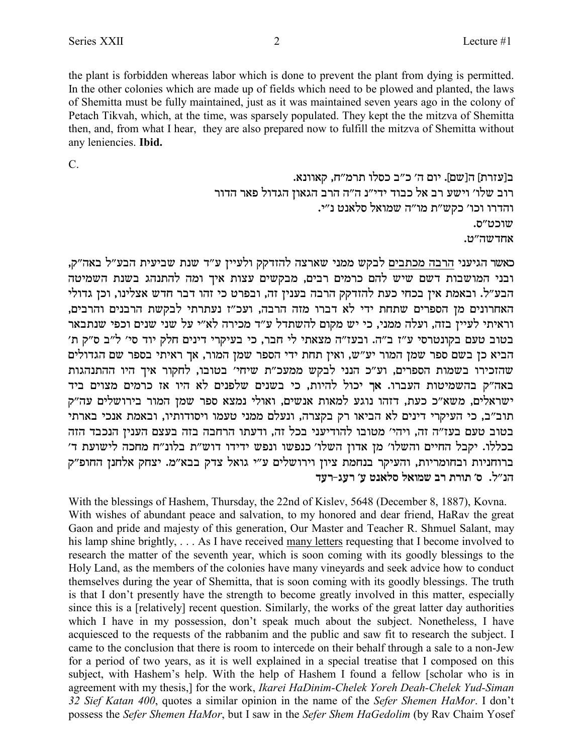the plant is forbidden whereas labor which is done to prevent the plant from dying is permitted. In the other colonies which are made up of fields which need to be plowed and planted, the laws of Shemitta must be fully maintained, just as it was maintained seven years ago in the colony of Petach Tikvah, which, at the time, was sparsely populated. They kept the the mitzva of Shemitta then, and, from what I hear, they are also prepared now to fulfill the mitzva of Shemitta without any leniencies. Ibid.

 $C_{\cdot}$ 

ב[עזרת] ה[שם]. יום ה' כ"ב כסלו תרמ"ח, קאוונא. רוב שלו׳ וישע רב אל כבוד ידי״נ ה״ה הרב הגאון הגדול פאר הדור והדרו וכו' כקש״ת מו״ה שמואל סלאנט נ״י. שוכט״ס. אחדשה״ט.

כאשר הגיעני הרבה מכתבים לבקש ממני שארצה להזדקק ולעיין ע״ד שנת שביעית הבע״ל באה״ק, ובני המושבות דשם שיש להם כרמים רבים, מבקשים עצות איך ומה להתנהג בשנת השמיטה הבע״ל. ובאמת אין בכחי כעת להזדקק הרבה בענין זה, ובפרט כי זהו דבר חדש אצלינו, וכן גדולי .<br>האחרונים מן הספרים שתחת ידי לא דברו מזה הרבה, ועכ"ז נעתרתי לבקשת הרבנים והרבים, וראיתי לעיין בזה, ועלה ממני, כי יש מקום להשתדל ע"ד מכירה לא"י על שני שנים וכפי שנתבאר בטוב טעם בקונטרסי ע"ז ב"ה. ובעז"ה מצאתי לי חבר, כי בעיקרי דינים חלק יוד סי' ל"ב ס"ק ת' הביא כן בשם ספר שמן המור יע"ש, ואין תחת ידי הספר שמן המור, אך ראיתי בספר שם הגדולים שהזכירו בשמות הספרים, וע"כ הנני לבקש ממעכ"ת שיחי' בטובו, לחקור איך היו ההתנהגות באה"ק בהשמיטות העברו. אך יכול להיות, כי בשנים שלפנים לא היו אז כרמים מצוים ביד ישראלים, משא״כ כעת, דזהו נוגע למאות אנשים, ואולי נמצא ספר שמן המור בירושלים עה״ק תוב"ב, כי העיקרי דינים לא הביאו רק בקצרה, ונעלם ממני טעמו ויסודותיו, ובאמת אנכי בארתי בטוב טעם בעז״ה זה, ויהי׳ מטובו להודיעני בכל זה, ודעתו הרחבה בזה בעצם הענין הנכבד הזה בכללו. יקבל החיים והשלו' מן אדון השלו' כנפשו ונפש ידידו דוש"ת בלונ"ח מחכה לישועת ד' ברוחניות ובחומריות, והעיקר בנחמת ציון וירושלים ע"י גואל צדק בבא"מ. יצחק אלחנן החופ"ק הנ״ל. ס׳ תורת רב שמואל סלאנט ע׳ רעג-רעד

With the blessings of Hashem, Thursday, the 22nd of Kisley, 5648 (December 8, 1887), Kovna. With wishes of abundant peace and salvation, to my honored and dear friend, HaRav the great Gaon and pride and majesty of this generation, Our Master and Teacher R. Shmuel Salant, may his lamp shine brightly, ... As I have received many letters requesting that I become involved to research the matter of the seventh year, which is soon coming with its goodly blessings to the Holy Land, as the members of the colonies have many vineyards and seek advice how to conduct themselves during the year of Shemitta, that is soon coming with its goodly blessings. The truth is that I don't presently have the strength to become greatly involved in this matter, especially since this is a [relatively] recent question. Similarly, the works of the great latter day authorities which I have in my possession, don't speak much about the subject. Nonetheless, I have acquiesced to the requests of the rabbanim and the public and saw fit to research the subject. I came to the conclusion that there is room to intercede on their behalf through a sale to a non-Jew for a period of two years, as it is well explained in a special treatise that I composed on this subject, with Hashem's help. With the help of Hashem I found a fellow [scholar who is in agreement with my thesis,] for the work, Ikarei HaDinim-Chelek Yoreh Deah-Chelek Yud-Siman 32 Sief Katan 400, quotes a similar opinion in the name of the Sefer Shemen HaMor. I don't possess the Sefer Shemen HaMor, but I saw in the Sefer Shem HaGedolim (by Ray Chaim Yosef

 $\overline{2}$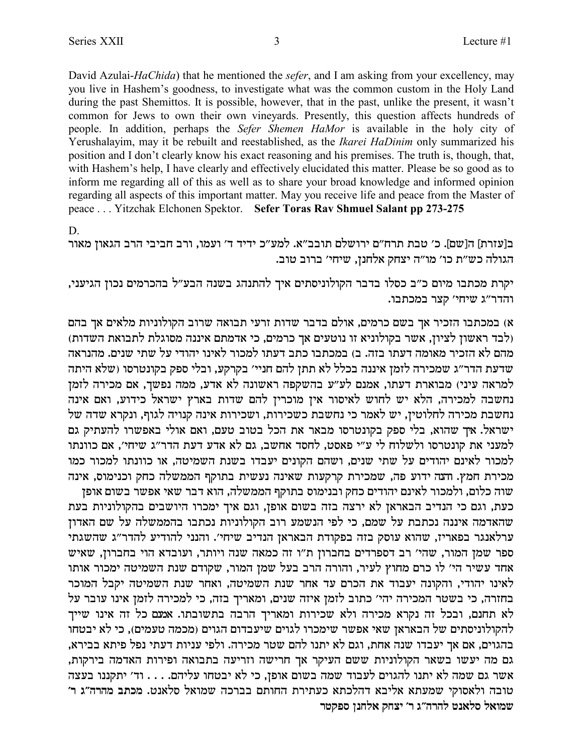David Azulai-HaChida) that he mentioned the sefer, and I am asking from your excellency, may you live in Hashem's goodness, to investigate what was the common custom in the Holy Land during the past Shemittos. It is possible, however, that in the past, unlike the present, it wasn't common for Jews to own their own vineyards. Presently, this question affects hundreds of people. In addition, perhaps the Sefer Shemen HaMor is available in the holy city of Yerushalayim, may it be rebuilt and reestablished, as the *Ikarei HaDinim* only summarized his position and I don't clearly know his exact reasoning and his premises. The truth is, though, that, with Hashem's help, I have clearly and effectively elucidated this matter. Please be so good as to inform me regarding all of this as well as to share your broad knowledge and informed opinion regarding all aspects of this important matter. May you receive life and peace from the Master of peace ... Yitzchak Elchonen Spektor. Sefer Toras Rav Shmuel Salant pp 273-275

 $D.$ 

ב[עזרת] ה[שם]. כ׳ טבת תרח״ם ירושלם תובב״א. למע״כ ידיד ד׳ ועמו, ורב חביבי הרב הגאון מאור הגולה כש״ת כו׳ מו״ה יצחק אלחנן, שיחי׳ ברוב טוב.

יקרת מכתבו מיום כ״ב כסלו בדבר הקולוניסתים איך להתנהג בשנה הבע״ל בהכרמים נכון הגיעני, והדר"ג שיחי' קצר במכתבו.

א) במכתבו הזכיר אך בשם כרמים, אולם בדבר שדות זרעי תבואה שרוב הקולוניות מלאים אך בהם (לבד ראשון לציון, אשר בקולוניא זו נוטעים אך כרמים, כי אדמתם איננה מסוגלת לתבואת השדות) .<br>מהם לא הזכיר מאומה דעתו בזה. ב) במכתבו כתב דעתו למכור לאינו יהודי על שתי שנים. מהנראה שדעת הדר״ג שמכירה לזמן איננה בכלל לא תתן להם חניי׳ בקרקע, ובלי ספק בקונטרסו (שלא היתה למראה עיני) מבוארת דעתו, אמנם לע״ע בהשקפה ראשונה לא אדע, ממה נפשך, אם מכירה לזמן נחשבה למכירה, הלא יש לחוש לאיסור אין מוכרין להם שדות בארץ ישראל כידוע, ואם אינה נחשבת מכירה לחלוטין, יש לאמר כי נחשבת כשכירות, ושכירות אינה קנויה לגוף, ונקרא שדה של ישראל. אך שהוא, בלי ספק בקונטרסו מבאר את הכל בטוב טעם, ואם אולי באפשרו להעתיק גם למעני את קונטרסו ולשלוח לי ע"י פאסט, לחסד אחשב, גם לא אדע דעת הדר"ג שיחי', אם כוונתו למכור לאינם יהודים על שתי שנים, ושהם הקונים יעבדו בשנת השמיטה, או כוונתו למכור כמו מכירת חמץ. והנה ידוע פה, שמכירת קרקעות שאינה נעשית בתוקף הממשלה כחק וכנימוס, אינה שוה כלום, ולמכור לאינם יהודים כחק ובנימוס בתוקף הממשלה, הוא דבר שאי אפשר בשום אופן כעת, וגם כי הנדיב הבאראן לא ירצה בזה בשום אופן, וגם איך ימכרו היושבים בהקולוניות בעת שהאדמה איננה נכתבת על שמם, כי לפי הנשמע רוב הקולוניות נכתבו בהממשלה על שם האדון ערלאנגר בפאריז, שהוא עוסק בזה בפקודת הבאראן הנדיב שיחי׳. והנני להודיע להדר״ג שהשגתי ספר שמן המור, שהי' רב דספרדים בחברון ת"ו זה כמאה שנה ויותר, ועובדא הוי בחברון, שאיש אחד עשיר הי׳ לו כרם מחוץ לעיר, והורה הרב בעל שמן המור, שקודם שנת השמיטה ימכור אותו לאינו יהודי, והקונה יעבוד את הכרם עד אחר שנת השמיטה, ואחר שנת השמיטה יקבל המוכר בחזרה, כי בשטר המכירה יהי׳ כתוב לזמן איזה שנים, ומאריך בזה, כי למכירה לזמן אינו עובר על לא תחנם, ובכל זה נקרא מכירה ולא שכירות ומאריך הרבה בתשובתו. אמנם כל זה אינו שייך להקולוניסתים של הבאראן שאי אפשר שימכרו לגוים שיעבדום הגוים (מכמה טעמים), כי לא יבטחו בהגוים, אם אך יעבדו שנה אחת, וגם לא יתנו להם שטר מכירה. ולפי עניות דעתי נפל פיתא בבירא, גם מה יעשו בשאר הקולוניות ששם העיקר אך חרישה וזריעה בתבואה ופירות האדמה בירקות, אשר גם שמה לא יתנו להגוים לעבוד שמה בשום אופן, כי לא יבטחו עליהם. . . . וד׳ יתקננו בעצה טובה ולאסוקי שמעתא אליבא דהלכתא כעתירת החותם בברכה שמואל סלאנט. מכתב מהרה"ג ר' שמואל סלאנט להרה״ג ר׳ יצחק אלחנן ספקטר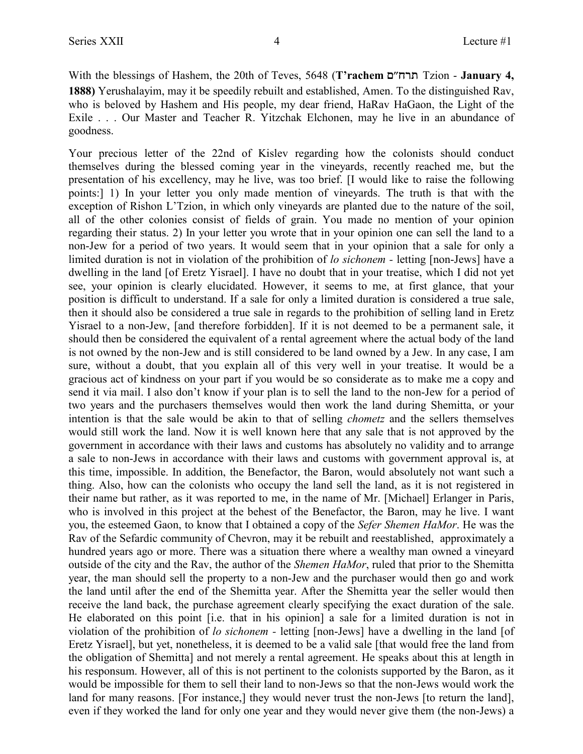With the blessings of Hashem, the 20th of Teves, 5648 (**T'rachem** m"gxz Tzion - **January 4, 1888)** Yerushalayim, may it be speedily rebuilt and established, Amen. To the distinguished Rav, who is beloved by Hashem and His people, my dear friend, HaRav HaGaon, the Light of the Exile . . . Our Master and Teacher R. Yitzchak Elchonen, may he live in an abundance of goodness.

Your precious letter of the 22nd of Kislev regarding how the colonists should conduct themselves during the blessed coming year in the vineyards, recently reached me, but the presentation of his excellency, may he live, was too brief. [I would like to raise the following points:] 1) In your letter you only made mention of vineyards. The truth is that with the exception of Rishon L'Tzion, in which only vineyards are planted due to the nature of the soil, all of the other colonies consist of fields of grain. You made no mention of your opinion regarding their status. 2) In your letter you wrote that in your opinion one can sell the land to a non-Jew for a period of two years. It would seem that in your opinion that a sale for only a limited duration is not in violation of the prohibition of *lo sichonem -* letting [non-Jews] have a dwelling in the land [of Eretz Yisrael]. I have no doubt that in your treatise, which I did not yet see, your opinion is clearly elucidated. However, it seems to me, at first glance, that your position is difficult to understand. If a sale for only a limited duration is considered a true sale, then it should also be considered a true sale in regards to the prohibition of selling land in Eretz Yisrael to a non-Jew, [and therefore forbidden]. If it is not deemed to be a permanent sale, it should then be considered the equivalent of a rental agreement where the actual body of the land is not owned by the non-Jew and is still considered to be land owned by a Jew. In any case, I am sure, without a doubt, that you explain all of this very well in your treatise. It would be a gracious act of kindness on your part if you would be so considerate as to make me a copy and send it via mail. I also don't know if your plan is to sell the land to the non-Jew for a period of two years and the purchasers themselves would then work the land during Shemitta, or your intention is that the sale would be akin to that of selling *chometz* and the sellers themselves would still work the land. Now it is well known here that any sale that is not approved by the government in accordance with their laws and customs has absolutely no validity and to arrange a sale to non-Jews in accordance with their laws and customs with government approval is, at this time, impossible. In addition, the Benefactor, the Baron, would absolutely not want such a thing. Also, how can the colonists who occupy the land sell the land, as it is not registered in their name but rather, as it was reported to me, in the name of Mr. [Michael] Erlanger in Paris, who is involved in this project at the behest of the Benefactor, the Baron, may he live. I want you, the esteemed Gaon, to know that I obtained a copy of the *Sefer Shemen HaMor*. He was the Rav of the Sefardic community of Chevron, may it be rebuilt and reestablished, approximately a hundred years ago or more. There was a situation there where a wealthy man owned a vineyard outside of the city and the Rav, the author of the *Shemen HaMor*, ruled that prior to the Shemitta year, the man should sell the property to a non-Jew and the purchaser would then go and work the land until after the end of the Shemitta year. After the Shemitta year the seller would then receive the land back, the purchase agreement clearly specifying the exact duration of the sale. He elaborated on this point [i.e. that in his opinion] a sale for a limited duration is not in violation of the prohibition of *lo sichonem -* letting [non-Jews] have a dwelling in the land [of Eretz Yisrael], but yet, nonetheless, it is deemed to be a valid sale [that would free the land from the obligation of Shemitta] and not merely a rental agreement. He speaks about this at length in his responsum. However, all of this is not pertinent to the colonists supported by the Baron, as it would be impossible for them to sell their land to non-Jews so that the non-Jews would work the land for many reasons. [For instance,] they would never trust the non-Jews [to return the land], even if they worked the land for only one year and they would never give them (the non-Jews) a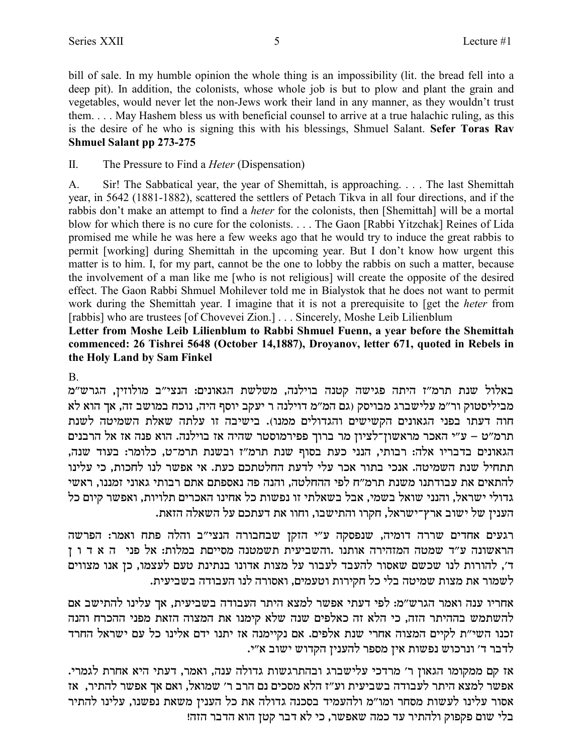bill of sale. In my humble opinion the whole thing is an impossibility (lit. the bread fell into a deep pit). In addition, the colonists, whose whole job is but to plow and plant the grain and vegetables, would never let the non-Jews work their land in any manner, as they wouldn't trust them. . . . May Hashem bless us with beneficial counsel to arrive at a true halachic ruling, as this is the desire of he who is signing this with his blessings, Shmuel Salant. **Sefer Toras Rav Shmuel Salant pp 273-275**

II. The Pressure to Find a *Heter* (Dispensation)

A. Sir! The Sabbatical year, the year of Shemittah, is approaching. . . . The last Shemittah year, in 5642 (1881-1882), scattered the settlers of Petach Tikva in all four directions, and if the rabbis don't make an attempt to find a *heter* for the colonists, then [Shemittah] will be a mortal blow for which there is no cure for the colonists. . . . The Gaon [Rabbi Yitzchak] Reines of Lida promised me while he was here a few weeks ago that he would try to induce the great rabbis to permit [working] during Shemittah in the upcoming year. But I don't know how urgent this matter is to him. I, for my part, cannot be the one to lobby the rabbis on such a matter, because the involvement of a man like me [who is not religious] will create the opposite of the desired effect. The Gaon Rabbi Shmuel Mohilever told me in Bialystok that he does not want to permit work during the Shemittah year. I imagine that it is not a prerequisite to [get the *heter* from [rabbis] who are trustees [of Chovevei Zion.] . . . Sincerely, Moshe Leib Lilienblum

**Letter from Moshe Leib Lilienblum to Rabbi Shmuel Fuenn, a year before the Shemittah commenced: 26 Tishrei 5648 (October 14,1887), Droyanov, letter 671, quoted in Rebels in the Holy Land by Sam Finkel**

B.

באלול שנת תרמ"ז היתה פגישה קטנה בוילנה, משלשת הגאונים: הנצי"ב מולוזין, הגרש"מ `מביליסטוק ור״מ עלישברג מבויסק (גם המ״מ דוילנה ר יעקב יוסף היה, נוכח במושב זה, אך הוא לא חוה דעתו בפני הגאונים הקשישים והגדולים ממנו). בישיבה זו עלתה שאלת השמיטה לשנת תרמ"ט – ע"י האכר מראשון־לציון מר ברוך פפירמוסטר שהיה אז בוילנה. הוא פנה אז אל הרבנים הגאונים בדבריו אלה: רבותי, הנני כעת בסוף שנת תרמ"ז ובשנת תרמ־ט, כלומר: בעוד שנה, תתחיל שנת השמיטה. אנכי בתור אכר עלי לדעת החלטתכם כעת. אי אפשר לנו לחכות, כי עלינו להתאים את עבודתנו משנת תרמ״ח לפי ההחלטה, והנה פה נאספתם אתם רבותי גאוני זמננו, ראשי גדולי ישראל, והנני שואל בשמי, אבל בשאלתי זו נפשות כל אחינו האכרים תלויות, ואפשר קיום כל . הענין של ישוב ארץ־ישראל, חקרו והתישבו, וחוו את דעתכם על השאלה הזאת

רגעים אחדים שררה דומיה, שנפסקה ע"י הזקן שבחבורה הנצי"ב והלה פתח ואמר: הפרשה הראשונה ע״ד שמטה המזהירה אותנו .והשביעית תשמטנה מסייםת במלות: אל פני) ה א ד ו ז ה', להורות לנו שכשם שאסור להעבד לעבור על מצות אדונו בנתינת טעם לעצמו, כן אנו מצווים לשמור את מצות שמיטה בלי כל חקירות וטעמים, ואסורה לנו העבודה בשביעית.

אחריו ענה ואמר הגרש״מ: לפי דעתי אפשר למצא היתר העבודה בשביעית, אך עלינו להתישב אם להשתמש בההיתר הזה, כי הלא זה כאלפים שנה שלא קימנו את המצוה הזאת מפני ההכרח והנה זכנו השי״ת לקיים המצוה אחרי שנת אלפים. אם נקיימנה אז יתנו ידם אלינו כל עם ישראל החרד לדבר ד' ונרכוש נפשות אין מספר להענין הקדוש ישוב א"י.

.<br>אז קם ממקומו הגאון ר׳ מרדכי עלישברג ובהתרגשות גדולה ענה, ואמר, דעתי היא אחרת לגמרי אפשר למצא היתר לעבודה בשביעית וע"ז הלא מסכים נם הרב ר' שמואל, ואם אך אפשר להתיר, אז אסור עלינו לעשות מסחר ומו"מ ולהעמיד בסכנה גדולה את כל הענין משאת נפשנו, עלינו להתיר .<br>בלי שום פקפוק ולהתיר עד כמה שאפשר, כי לא דבר קטן הוא הדבר הזה!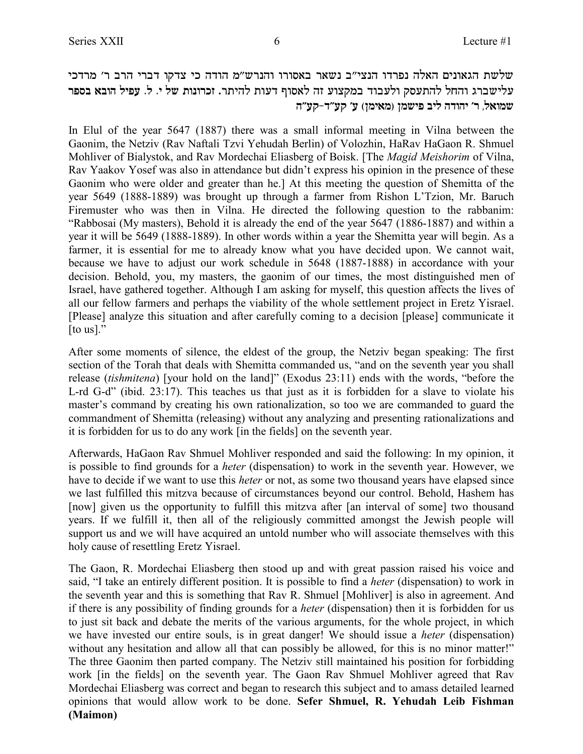יעלשת הגאונים האלה נפרדו הנצי״ב נשאר באסורו והנרש״מ הודה כי צדקו דברי הרב ר׳ מרדכי  $w$ עלישברג והחל להתעסק ולעבוד במקצוע זה לאסוף דעות להיתר. זכרונות של י. ל. עפיל הובא בספר **d"rw-c"rw 'r (oni`n) onyit ail dcedi 'x ,l`eny**

In Elul of the year 5647 (1887) there was a small informal meeting in Vilna between the Gaonim, the Netziv (Rav Naftali Tzvi Yehudah Berlin) of Volozhin, HaRav HaGaon R. Shmuel Mohliver of Bialystok, and Rav Mordechai Eliasberg of Boisk. [The *Magid Meishorim* of Vilna, Rav Yaakov Yosef was also in attendance but didn't express his opinion in the presence of these Gaonim who were older and greater than he.] At this meeting the question of Shemitta of the year 5649 (1888-1889) was brought up through a farmer from Rishon L'Tzion, Mr. Baruch Firemuster who was then in Vilna. He directed the following question to the rabbanim: "Rabbosai (My masters), Behold it is already the end of the year 5647 (1886-1887) and within a year it will be 5649 (1888-1889). In other words within a year the Shemitta year will begin. As a farmer, it is essential for me to already know what you have decided upon. We cannot wait, because we have to adjust our work schedule in 5648 (1887-1888) in accordance with your decision. Behold, you, my masters, the gaonim of our times, the most distinguished men of Israel, have gathered together. Although I am asking for myself, this question affects the lives of all our fellow farmers and perhaps the viability of the whole settlement project in Eretz Yisrael. [Please] analyze this situation and after carefully coming to a decision [please] communicate it [to us]."

After some moments of silence, the eldest of the group, the Netziv began speaking: The first section of the Torah that deals with Shemitta commanded us, "and on the seventh year you shall release (*tishmitena*) [your hold on the land]" (Exodus 23:11) ends with the words, "before the L-rd G-d" (ibid. 23:17). This teaches us that just as it is forbidden for a slave to violate his master's command by creating his own rationalization, so too we are commanded to guard the commandment of Shemitta (releasing) without any analyzing and presenting rationalizations and it is forbidden for us to do any work [in the fields] on the seventh year.

Afterwards, HaGaon Rav Shmuel Mohliver responded and said the following: In my opinion, it is possible to find grounds for a *heter* (dispensation) to work in the seventh year. However, we have to decide if we want to use this *heter* or not, as some two thousand years have elapsed since we last fulfilled this mitzva because of circumstances beyond our control. Behold, Hashem has [now] given us the opportunity to fulfill this mitzva after [an interval of some] two thousand years. If we fulfill it, then all of the religiously committed amongst the Jewish people will support us and we will have acquired an untold number who will associate themselves with this holy cause of resettling Eretz Yisrael.

The Gaon, R. Mordechai Eliasberg then stood up and with great passion raised his voice and said, "I take an entirely different position. It is possible to find a *heter* (dispensation) to work in the seventh year and this is something that Rav R. Shmuel [Mohliver] is also in agreement. And if there is any possibility of finding grounds for a *heter* (dispensation) then it is forbidden for us to just sit back and debate the merits of the various arguments, for the whole project, in which we have invested our entire souls, is in great danger! We should issue a *heter* (dispensation) without any hesitation and allow all that can possibly be allowed, for this is no minor matter!" The three Gaonim then parted company. The Netziv still maintained his position for forbidding work [in the fields] on the seventh year. The Gaon Rav Shmuel Mohliver agreed that Rav Mordechai Eliasberg was correct and began to research this subject and to amass detailed learned opinions that would allow work to be done. **Sefer Shmuel, R. Yehudah Leib Fishman (Maimon)**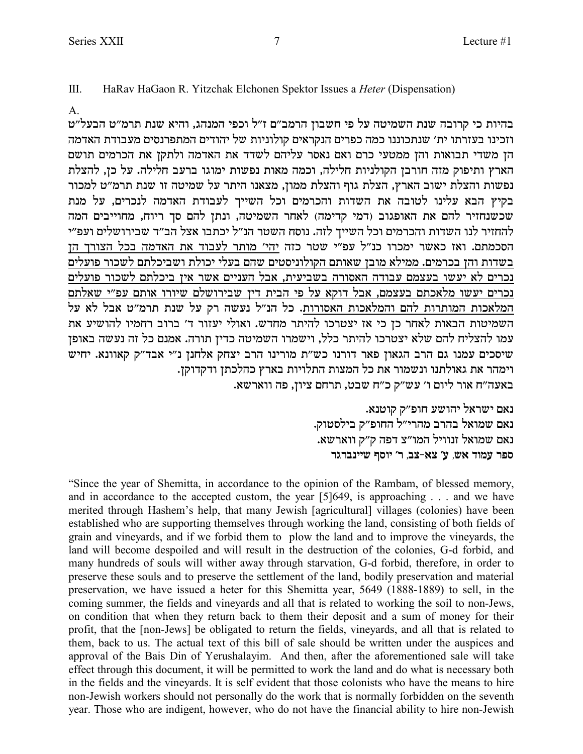III. HaRav HaGaon R. Yitzchak Elchonen Spektor Issues a *Heter* (Dispensation)

#### A.

בהיות כי קרובה שנת השמיטה על פי חשבון הרמב״ם ז״ל וכפי המנהג, והיא שנת תרמ״ט הבעל״ט וזכינו בעזרתו ית׳ שנתכוננו כמה כפרים הנקראים קולוניות של יהודים המתפרנסים מעבודת האדמה הן משדי תבואות והן ממטעי כרם ואם נאסר עליהם לשדד את האדמה ולתקן את הכרמים תושם הארץ ותיפוק מזה חורבן הקולניות חלילה, וכמה מאות נפשות ימוגו ברעב חלילה. על כן, להצלת נפשות והצלת ישוב הארץ, הצלת גוף והצלת ממון, מצאנו היתר על שמיטה זו שנת תרמ״ט למכור בקיץ הבא עלינו לטובה את השדות והכרמים וכל השייך לעבודת האדמה לנכרים, על מנת שכשנחזיר להם את האופגוב (דמי קדימה) לאחר השמיטה, ונתן להם סך ריוח, מחוייבים המה להחזיר לנו השדות והכרמים וכל השייך לזה. נוסח השטר הנ״ל יכתבו אצל הב״ד שבירושלים ועפ״י הסכמתם. ואז כאשר ימכרו כנ"ל עפ"י שטר כזה יהי' מותר לעבוד את האדמה בכל הצורך הז בשדות והן בכרמים. ממילא מובן שאותם הקולוניסטים שהם בעלי יכולת ושביכלתם לשכור פועלים נכרים לא יעשו בעצמם עבודה האסורה בשביעית, אבל העניים אשר אין ביכלתם לשכור פועלים נכרים יעשו מלאכתם בעצמם, אבל דוקא על פי הבית דין שבירושלם שיורו אותם עפ"י שאלתם המלאכות המותרות להם והמלאכות האסורות. כל הנ"ל נעשה רק על שנת תרמ"ט אבל לא על z` riyedl eingx aexa 'c xefri ile`e .ycgn xzidl ekxhvi f` ik ok xg`l ze`ad zehinyd עמו להצליח להם שלא יצטרכו להיתר כלל, וישמרו השמיטה כדין תורה. אמנם כל זה נעשה באופן  $w$ יסכים עמנו גם הרב הגאון פאר דורנו כש״ת מורינו הרב יצחק אלחנן נ״י אבד״ק קאוונא. יחיש .<br>וימהר את גאולתנו ונשמור את כל המצות התלויות בארץ כהלכתן ודקדוקן

.<br>באעה״ח אור ליום ו׳ עש״ק כ״ח שבט, תרחם ציון, פה ווארשא

. נאם ישראל יהושע חופ״ק קוטנא .<br>נאם שמואל בהרב מהרי"ל החופ"ק בילסטוק . נאם שמואל זנוויל המו"צ דפה ק"ק ווארשא **xbxapiiy sqei 'x ,av-`v 'r ,y` cenr xtq**

"Since the year of Shemitta, in accordance to the opinion of the Rambam, of blessed memory, and in accordance to the accepted custom, the year [5]649, is approaching . . . and we have merited through Hashem's help, that many Jewish [agricultural] villages (colonies) have been established who are supporting themselves through working the land, consisting of both fields of grain and vineyards, and if we forbid them to plow the land and to improve the vineyards, the land will become despoiled and will result in the destruction of the colonies, G-d forbid, and many hundreds of souls will wither away through starvation, G-d forbid, therefore, in order to preserve these souls and to preserve the settlement of the land, bodily preservation and material preservation, we have issued a heter for this Shemitta year, 5649 (1888-1889) to sell, in the coming summer, the fields and vineyards and all that is related to working the soil to non-Jews, on condition that when they return back to them their deposit and a sum of money for their profit, that the [non-Jews] be obligated to return the fields, vineyards, and all that is related to them, back to us. The actual text of this bill of sale should be written under the auspices and approval of the Bais Din of Yerushalayim. And then, after the aforementioned sale will take effect through this document, it will be permitted to work the land and do what is necessary both in the fields and the vineyards. It is self evident that those colonists who have the means to hire non-Jewish workers should not personally do the work that is normally forbidden on the seventh year. Those who are indigent, however, who do not have the financial ability to hire non-Jewish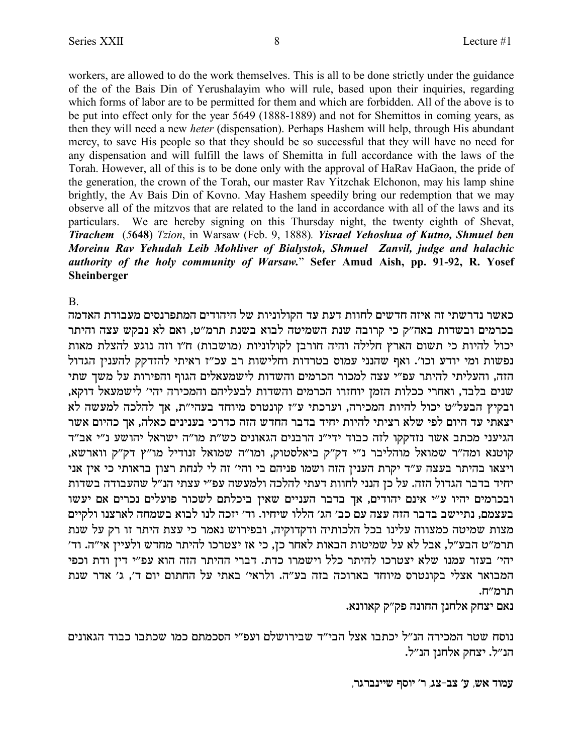workers, are allowed to do the work themselves. This is all to be done strictly under the guidance of the of the Bais Din of Yerushalayim who will rule, based upon their inquiries, regarding which forms of labor are to be permitted for them and which are forbidden. All of the above is to be put into effect only for the year 5649 (1888-1889) and not for Shemittos in coming years, as then they will need a new *heter* (dispensation). Perhaps Hashem will help, through His abundant mercy, to save His people so that they should be so successful that they will have no need for any dispensation and will fulfill the laws of Shemitta in full accordance with the laws of the Torah. However, all of this is to be done only with the approval of HaRav HaGaon, the pride of the generation, the crown of the Torah, our master Rav Yitzchak Elchonon, may his lamp shine brightly, the Av Bais Din of Kovno. May Hashem speedily bring our redemption that we may observe all of the mitzvos that are related to the land in accordance with all of the laws and its particulars. We are hereby signing on this Thursday night, the twenty eighth of Shevat, *Tirachem* (*5***648**) *Tzion*, in Warsaw (Feb. 9, 1888)*. Yisrael Yehoshua of Kutno, Shmuel ben Moreinu Rav Yehudah Leib Mohliver of Bialystok, Shmuel Zanvil, judge and halachic authority of the holy community of Warsaw.*" **Sefer Amud Aish, pp. 91-92, R. Yosef Sheinberger**

B.

כאשר נדרשתי זה איזה חדשים לחוות דעת עד הקולוניות של היהודים המתפרנסים מעבודת האדמה בכרמים ובשדות באה"ק כי קרובה שנת השמיטה לבוא בשנת תרמ"ט, ואם לא נבקש עצה והיתר יכול להיות כי תשום הארץ חלילה והיה חורבן לקולוניות (מושבות) ח"ו וזה נוגע להצלת מאות נפשות ומי יודע וכו׳. ואף שהנני עמוס בטרדות וחלישות רב עכ״ז ראיתי להזדקק להענין הגדול הזה, והעליתי להיתר עפ״י עצה למכור הכרמים והשדות לישמעאלים הגוף והפירות על משך שתי שנים בלבד, ואחרי ככלות הזמן יוחזרו הכרמים והשדות לבעליהם והמכירה יהי׳ לישמעאל דוקא, ובקיץ הבעל"ט יכול להיות המכירה, וערכתי ע"ז קונטרס מיוחד בעהי"ת, אך להלכה למעשה לא יצאתי עד היום לפי שלא רציתי להיות יחיד בדבר החדש הזה כדרכי בענינים כאלה, אך כהיום אשר הגיעני מכתב אשר נזדקקו לזה כבוד ידי"נ הרבנים הגאונים כש"ת מו"ה ישראל יהושע נ"י אב"ד ,קוטנא ומה"ר שמואל מוהליבר נ"י דק"ק ביאלסטוק, ומו"ה שמואל זנודיל מו"ץ דק"ק ווארשא ויצאו בהיתר בעצה ע"ד יקרת הענין הזה ושמו פניהם בי והי' זה לי לנחת רצון בראותי כי אין אני יחיד בדבר הגדול הזה. על כן הנני לחוות דעתי להלכה ולמעשה עפ״י עצתי הנ״ל שהעבודה בשדות ובכרמים יהיו ע״י אינם יהודים, אך בדבר העניים שאין ביכלתם לשכור פועלים נכרים אם יעשו בעצמם, נתיישב בדבר הזה עצה עם כב׳ הג׳ הללו שיחיו. וד׳ יזכה לנו לבוא בשמחה לארצנו ולקיים מצות שמיטה כמצווה עלינו בכל הלכותיה ודקדוקיה, ובפירוש נאמר כי עצת היתר זו רק על שנת תרמ״ט הבע״ל, אבל לא על שמיטות הבאות לאחר כן, כי אז יצטרכו להיתר מחדש ולעיין אי״ה. וד׳ יהי' בעזר עמנו שלא יצטרכו להיתר כלל וישמרו כדת. דברי ההיתר הזה הוא עפ"י דין ודת וכפי המבואר אצלי בקונטרס מיוחד בארוכה בזה בע"ה. ולראי' באתי על החתום יום ד', ג' אדר שנת תרמ"ח.

. נאם יצחק אלחנן החונה פק"ק קאוונא

נוסח שטר המכירה הנ״ל יכתבו אצל הבי״ד שבירושלם ועפ״י הסכמתם כמו שכתבו כבוד הגאונים .הנ״ל. יצחק אלחנן הנ״ל

**,xbxapiiy sqei 'x ,bv-av 'r ,y` cenr**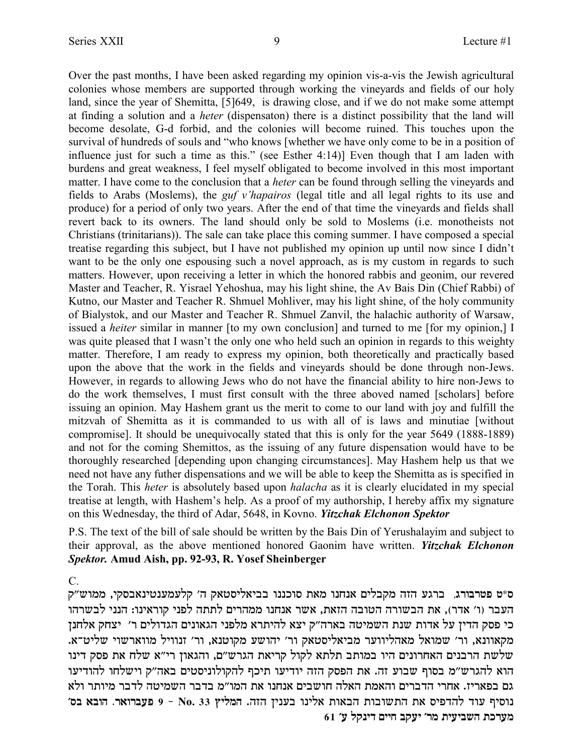Over the past months, I have been asked regarding my opinion vis-a-vis the Jewish agricultural colonies whose members are supported through working the vineyards and fields of our holy land, since the year of Shemitta, [5]649, is drawing close, and if we do not make some attempt at finding a solution and a *heter* (dispensaton) there is a distinct possibility that the land will become desolate, G-d forbid, and the colonies will become ruined. This touches upon the survival of hundreds of souls and "who knows [whether we have only come to be in a position of influence just for such a time as this." (see Esther 4:14)] Even though that I am laden with burdens and great weakness, I feel myself obligated to become involved in this most important matter. I have come to the conclusion that a *heter* can be found through selling the vineyards and fields to Arabs (Moslems), the *guf v'hapairos* (legal title and all legal rights to its use and produce) for a period of only two years. After the end of that time the vineyards and fields shall revert back to its owners. The land should only be sold to Moslems (i.e. monotheists not Christians (trinitarians)). The sale can take place this coming summer. I have composed a special treatise regarding this subject, but I have not published my opinion up until now since I didn't want to be the only one espousing such a novel approach, as is my custom in regards to such matters. However, upon receiving a letter in which the honored rabbis and geonim, our revered Master and Teacher, R. Yisrael Yehoshua, may his light shine, the Av Bais Din (Chief Rabbi) of Kutno, our Master and Teacher R. Shmuel Mohliver, may his light shine, of the holy community of Bialystok, and our Master and Teacher R. Shmuel Zanvil, the halachic authority of Warsaw, issued a *heiter* similar in manner [to my own conclusion] and turned to me [for my opinion,] I was quite pleased that I wasn't the only one who held such an opinion in regards to this weighty matter. Therefore, I am ready to express my opinion, both theoretically and practically based upon the above that the work in the fields and vineyards should be done through non-Jews. However, in regards to allowing Jews who do not have the financial ability to hire non-Jews to do the work themselves, I must first consult with the three aboved named [scholars] before issuing an opinion. May Hashem grant us the merit to come to our land with joy and fulfill the mitzvah of Shemitta as it is commanded to us with all of is laws and minutiae [without compromise]. It should be unequivocally stated that this is only for the year 5649 (1888-1889) and not for the coming Shemittos, as the issuing of any future dispensation would have to be thoroughly researched [depending upon changing circumstances]. May Hashem help us that we need not have any futher dispensations and we will be able to keep the Shemitta as is specified in the Torah. This *heter* is absolutely based upon *halacha* as it is clearly elucidated in my special treatise at length, with Hashem's help. As a proof of my authorship, I hereby affix my signature on this Wednesday, the third of Adar, 5648, in Kovno. *Yitzchak Elchonon Spektor*

P.S. The text of the bill of sale should be written by the Bais Din of Yerushalayim and subject to their approval, as the above mentioned honored Gaonim have written. *Yitzchak Elchonon Spektor.* **Amud Aish, pp. 92-93, R. Yosef Sheinberger**

 $\mathcal{C}$ 

ס\*ט פטרבורג, ברגע הזה מקבלים אנחנו מאת סוכננו בביאליסטאק ה' קלעמענטינאבסקי, ממוש"ק העבר (ו' אדר), את הבשורה הטובה הזאת, אשר אנחנו ממהרים לתתה לפני קוראינו: הנני לבשרהו כי פסק הדין על אדות שנת השמיטה בארה"ק יצא להיתרא מלפני הגאונים הגדולים ר' יצחק אלחנן .<br>מקאוונא, ור׳ שמואל מאהליווער מביאליסטאק ור׳ יהושע מקוטנא, ור׳ זנוויל מווארשוי שליט־א. שלשת הרבנים האחרונים היו במותב תלתא לקול קריאת הגרש"ם, והגאון רי"א שלח את פסק דינו הוא להגרש"מ בסוף שבוע זה. את הפסק הזה יודיעו תיכף להקולוניסטים באה"ק וישלחו להודיעו גם בפאריז. אחרי הדברים והאמת האלה חושבים אנחנו את המו״מ בדבר השמיטה לדבר מיותר ולא **'qa `aed .x`exart 9 - No. 33 uilnd** .dfd oipra epil` ze`ad zeaeyzd z` qitcdl cer siqep **61 'r lwpic miig awri 'xn ziriayd zkxrn**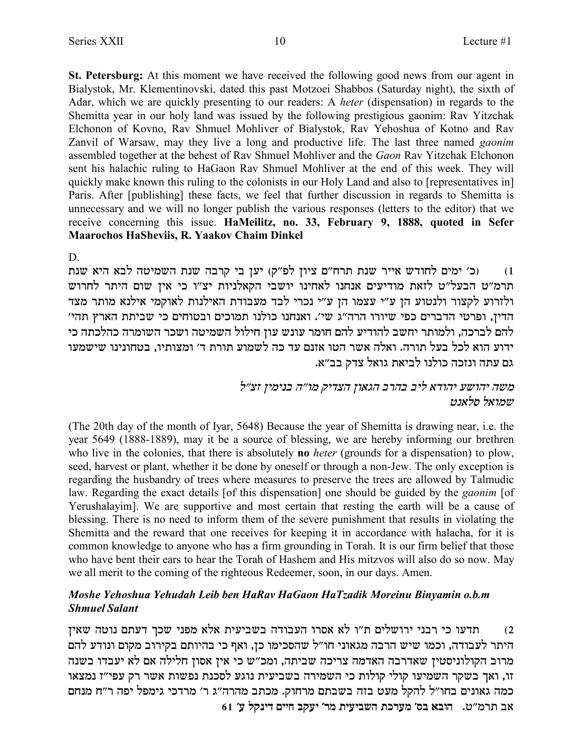St. Petersburg: At this moment we have received the following good news from our agent in Bialystok, Mr. Klementinovski, dated this past Motzoei Shabbos (Saturday night), the sixth of Adar, which we are quickly presenting to our readers: A heter (dispensation) in regards to the Shemitta year in our holy land was issued by the following prestigious gaonim: Rav Yitzchak Elchonon of Kovno, Rav Shmuel Mohliver of Bialystok, Rav Yehoshua of Kotno and Rav Zanvil of Warsaw, may they live a long and productive life. The last three named *gaonim* assembled together at the behest of Rav Shmuel Mohliver and the Gaon Rav Yitzchak Elchonon sent his halachic ruling to HaGaon Rav Shmuel Mohliver at the end of this week. They will quickly make known this ruling to the colonists in our Holy Land and also to [representatives in] Paris. After [publishing] these facts, we feel that further discussion in regards to Shemitta is unnecessary and we will no longer publish the various responses (letters to the editor) that we receive concerning this issue. HaMeilitz, no. 33, February 9, 1888, quoted in Sefer Maarochos HaSheviis, R. Yaakov Chaim Dinkel

D

(כ׳ ימים לחודש אייר שנת תרח"ם ציון לפ"ק) יען בי קרבה שנת השמיטה לבא היא שנת  $(1)$ תרמ"ט הבעל"ט לזאת מודיעים אנחנו לאחינו יושבי הקאלניות יצ"ו כי אין שום היתר לחרוש ולזרוע לקצור ולנטוע הן ע״י עצמו הן ע״י נכרי לבד מעבודת האילנות לאוקמי אילנא מותר מצד הדין, ופרטי הדברים כפי שיורו הרה"ג שי'. ואנחנו כולנו תמוכים ובטוחים כי שביתת הארץ תהי' להם לברכה, ולמותר יחשב להודיע להם חומר עונש עון חילול השמיטה ושכר השומרה כהלכתה כי ידוע הוא לכל בעל תורה. ואלה אשר הטו אזנם עד כה לשמוע תורת ד׳ ומצותיו, בטחונינו שישמעו גם עתה ונזכה כולנו לביאת גואל צדק בב״א.

## משה יהושע יהודא ליב בהרב הגאון הצדיק מו״ה בנימין זצ״ל שמואל סלאנט

(The 20th day of the month of Iyar, 5648) Because the year of Shemitta is drawing near, i.e. the year 5649 (1888-1889), may it be a source of blessing, we are hereby informing our brethren who live in the colonies, that there is absolutely **no** heter (grounds for a dispensation) to plow, seed, harvest or plant, whether it be done by oneself or through a non-Jew. The only exception is regarding the husbandry of trees where measures to preserve the trees are allowed by Talmudic law. Regarding the exact details [of this dispensation] one should be guided by the *gaonim* [of Yerushalayim]. We are supportive and most certain that resting the earth will be a cause of blessing. There is no need to inform them of the severe punishment that results in violating the Shemitta and the reward that one receives for keeping it in accordance with halacha, for it is common knowledge to anyone who has a firm grounding in Torah. It is our firm belief that those who have bent their ears to hear the Torah of Hashem and His mitzvos will also do so now. May we all merit to the coming of the righteous Redeemer, soon, in our days. Amen.

### Moshe Yehoshua Yehudah Leib ben HaRav HaGaon HaTzadik Moreinu Binyamin o.b.m **Shmuel Salant**

תדעו כי רבני ירושלים ת"ו לא אסרו העבודה בשביעית אלא מפני שכך דעתם נוטה שאין  $(2)$ היתר לעבודה, וכמו שיש הרבה מגאוני חו"ל שהסכימו כן, ואף כי בהיותם בקירוב מקום ונודע להם מרוב הקולוניסטין שאדרבה האדמה צריכה שביתה, ומכ"ש כי אין אסון חלילה אם לא יעבדו בשנה זו, ואך בשקר השמיעו קולי קולות כי השמירה בשביעית נוגע לסכנת נפשות אשר רק עפי"ז נמצאו כמה גאונים בחו״ל להקל מעט בזה בשבתם מרחוק. מכתב מהרה״ג ר׳ מרדכי גימפל יפה ר״ח מנחם  $61$ ע׳ דינקל ע׳ השביעית מר׳ יעקב חיים דינקל ע׳  $1$